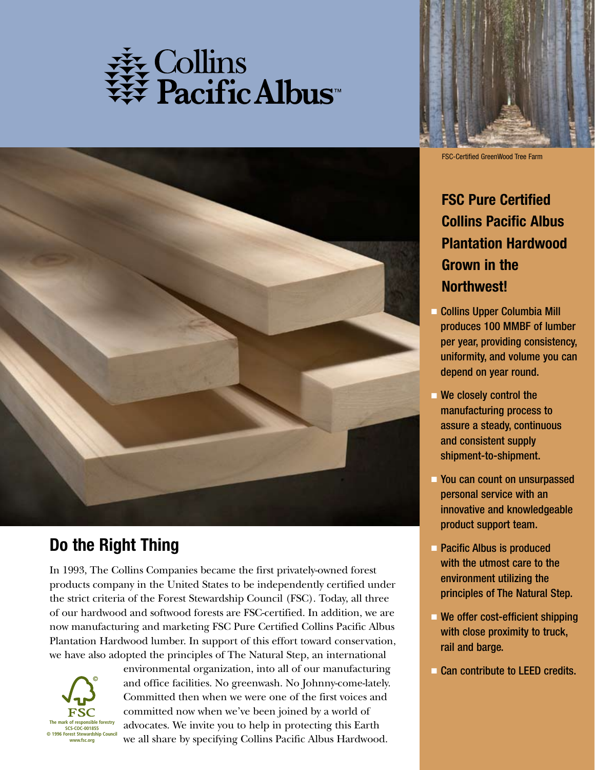



## **Do the Right Thing**

In 1993, The Collins Companies became the first privately-owned forest products company in the United States to be independently certified under the strict criteria of the Forest Stewardship Council (FSC). Today, all three of our hardwood and softwood forests are FSC-certified. In addition, we are now manufacturing and marketing FSC Pure Certified Collins Pacific Albus Plantation Hardwood lumber. In support of this effort toward conservation, we have also adopted the principles of The Natural Step, an international



environmental organization, into all of our manufacturing and office facilities. No greenwash. No Johnny-come-lately. Committed then when we were one of the first voices and committed now when we've been joined by a world of advocates. We invite you to help in protecting this Earth we all share by specifying Collins Pacific Albus Hardwood.



FSC-Certified GreenWood Tree Farm

## **FSC Pure Certified Collins Pacific Albus Plantation Hardwood Grown in the Northwest!**

- **Collins Upper Columbia Mill** produces 100 MMBF of lumber per year, providing consistency, uniformity, and volume you can depend on year round.
- $\blacksquare$  We closely control the manufacturing process to assure a steady, continuous and consistent supply shipment-to-shipment.
- **Provident** You can count on unsurpassed personal service with an innovative and knowledgeable product support team.
- **Pacific Albus is produced** with the utmost care to the environment utilizing the principles of The Natural Step.
- $\blacksquare$  We offer cost-efficient shipping with close proximity to truck, rail and barge.
- Can contribute to LEED credits.